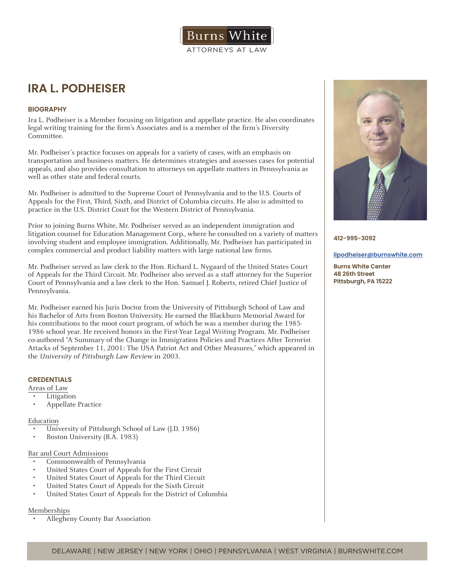# **IRA L. PODHEISER**

## **BIOGRAPHY**

Ira L. Podheiser is a Member focusing on litigation and appellate practice. He also coordinates legal writing training for the firm's Associates and is a member of the firm's Diversity Committee.

Mr. Podheiser's practice focuses on appeals for a variety of cases, with an emphasis on transportation and business matters. He determines strategies and assesses cases for potential appeals, and also provides consultation to attorneys on appellate matters in Pennsylvania as well as other state and federal courts.

Mr. Podheiser is admitted to the Supreme Court of Pennsylvania and to the U.S. Courts of Appeals for the First, Third, Sixth, and District of Columbia circuits. He also is admitted to practice in the U.S. District Court for the Western District of Pennsylvania.

Prior to joining Burns White, Mr. Podheiser served as an independent immigration and litigation counsel for Education Management Corp., where he consulted on a variety of matters involving student and employee immigration. Additionally, Mr. Podheiser has participated in complex commercial and product liability matters with large national law firms.

Mr. Podheiser served as law clerk to the Hon. Richard L. Nygaard of the United States Court of Appeals for the Third Circuit. Mr. Podheiser also served as a staff attorney for the Superior Court of Pennsylvania and a law clerk to the Hon. Samuel J. Roberts, retired Chief Justice of Pennsylvania.

Mr. Podheiser earned his Juris Doctor from the University of Pittsburgh School of Law and his Bachelor of Arts from Boston University. He earned the Blackburn Memorial Award for his contributions to the moot court program, of which he was a member during the 1985- 1986 school year. He received honors in the First-Year Legal Writing Program. Mr. Podheiser co-authored "A Summary of the Change in Immigration Policies and Practices After Terrorist Attacks of September 11, 2001: The USA Patriot Act and Other Measures," which appeared in the University of Pittsburgh Law Review in 2003.

## **CREDENTIALS**

Areas of Law

- Litigation
- Appellate Practice

#### Education

- University of Pittsburgh School of Law (J.D. 1986)
- Boston University (B.A. 1983)

#### Bar and Court Admissions

- Commonwealth of Pennsylvania
- United States Court of Appeals for the First Circuit
- United States Court of Appeals for the Third Circuit
- United States Court of Appeals for the Sixth Circuit
- United States Court of Appeals for the District of Columbia

### Memberships

• Allegheny County Bar Association



**412-995-3092**

#### **ilpodheiser@burnswhite.com**

**Burns White Center 48 26th Street Pittsburgh, PA 15222**